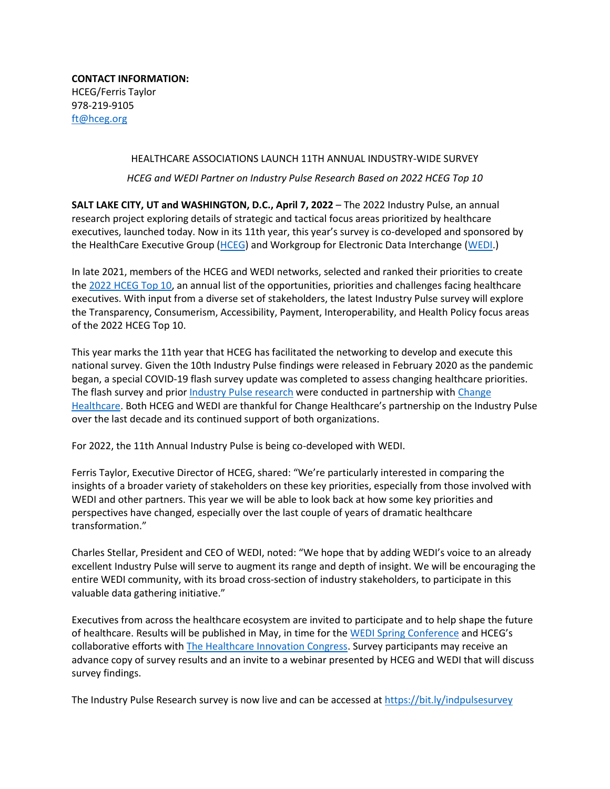**CONTACT INFORMATION:** HCEG/Ferris Taylor 978-219-9105 [ft@hceg.org](mailto:ft@hceg.org)

## HEALTHCARE ASSOCIATIONS LAUNCH 11TH ANNUAL INDUSTRY-WIDE SURVEY

*HCEG and WEDI Partner on Industry Pulse Research Based on 2022 HCEG Top 10*

**SALT LAKE CITY, UT and WASHINGTON, D.C., April 7, 2022** – The 2022 Industry Pulse, an annual research project exploring details of strategic and tactical focus areas prioritized by healthcare executives, launched today. Now in its 11th year, this year's survey is co-developed and sponsored by the HealthCare Executive Group [\(HCEG\)](https://hceg.org/) and Workgroup for Electronic Data Interchange [\(WEDI.](https://www.wedi.org/))

In late 2021, members of the HCEG and WEDI networks, selected and ranked their priorities to create th[e 2022 HCEG Top 10,](https://hceg.org/hcegtop10/) an annual list of the opportunities, priorities and challenges facing healthcare executives. With input from a diverse set of stakeholders, the latest Industry Pulse survey will explore the Transparency, Consumerism, Accessibility, Payment, Interoperability, and Health Policy focus areas of the 2022 HCEG Top 10.

This year marks the 11th year that HCEG has facilitated the networking to develop and execute this national survey. Given the 10th Industry Pulse findings were released in February 2020 as the pandemic began, a special COVID-19 flash survey update was completed to assess changing healthcare priorities. The flash survey and prior *[Industry Pulse research](https://hceg.org/industry-pulse/)* were conducted in partnership with *Change* [Healthcare.](https://www.changehealthcare.com/healthcare-consulting) Both HCEG and WEDI are thankful for Change Healthcare's partnership on the Industry Pulse over the last decade and its continued support of both organizations.

For 2022, the 11th Annual Industry Pulse is being co-developed with WEDI.

Ferris Taylor, Executive Director of HCEG, shared: "We're particularly interested in comparing the insights of a broader variety of stakeholders on these key priorities, especially from those involved with WEDI and other partners. This year we will be able to look back at how some key priorities and perspectives have changed, especially over the last couple of years of dramatic healthcare transformation."

Charles Stellar, President and CEO of WEDI, noted: "We hope that by adding WEDI's voice to an already excellent Industry Pulse will serve to augment its range and depth of insight. We will be encouraging the entire WEDI community, with its broad cross-section of industry stakeholders, to participate in this valuable data gathering initiative."

Executives from across the healthcare ecosystem are invited to participate and to help shape the future of healthcare. Results will be published in May, in time for th[e WEDI Spring Conference](https://members.wedi.org/event-calendar/Details/wedi-2022-spring-conference-virtual-568962?utm_source=hceg&utm_medium=blog&utm_campaign=industrypulse) and HCEG's collaborative efforts with [The Healthcare Innovation Congress.](https://thinc360.com/2022event/?utm_source=hceg&utm_medium=blog&utm_campaign=202200331) Survey participants may receive an advance copy of survey results and an invite to a webinar presented by HCEG and WEDI that will discuss survey findings.

The Industry Pulse Research survey is now live and can be accessed at<https://bit.ly/indpulsesurvey>